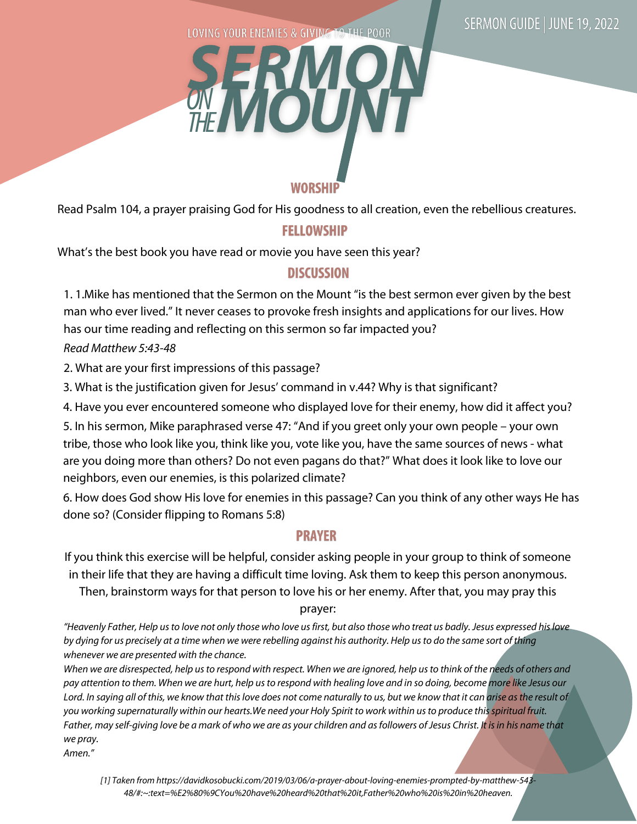LOVING YOUR ENEMIES & GIVING TO THE POOR



Read Psalm 104, a prayer praising God for His goodness to all creation, even the rebellious creatures.

## **FELLOWSHIP**

What's the best book you have read or movie you have seen this year?

## **DISCUSSION**

1. 1.Mike has mentioned that the Sermon on the Mount "is the best sermon ever given by the best man who ever lived." It never ceases to provoke fresh insights and applications for our lives. How has our time reading and reflecting on this sermon so far impacted you?

Read Matthew 5:43-48

2. What are your first impressions of this passage?

3. What is the justification given for Jesus' command in v.44? Why is that significant?

4. Have you ever encountered someone who displayed love for their enemy, how did it affect you?

5. In his sermon, Mike paraphrased verse 47: "And if you greet only your own people – your own tribe, those who look like you, think like you, vote like you, have the same sources of news - what are you doing more than others? Do not even pagans do that?" What does it look like to love our neighbors, even our enemies, is this polarized climate?

6. How does God show His love for enemies in this passage? Can you think of any other ways He has done so? (Consider flipping to Romans 5:8)

## **PRAYER**

If you think this exercise will be helpful, consider asking people in your group to think of someone in their life that they are having a difficult time loving. Ask them to keep this person anonymous.

Then, brainstorm ways for that person to love his or her enemy. After that, you may pray this

prayer:

"Heavenly Father, Help us to love not only those who love us first, but also those who treat us badly. Jesus expressed his love by dying for us precisely at a time when we were rebelling against his authority. Help us to do the same sort of thing whenever we are presented with the chance.

When we are disrespected, help us to respond with respect. When we are ignored, help us to think of the needs of others and pay attention to them. When we are hurt, help us to respond with healing love and in so doing, become more like Jesus our Lord. In saying all of this, we know that this love does not come naturally to us, but we know that it can arise as the result of you working supernaturally within our hearts.We need your Holy Spirit to work within us to produce this spiritual fruit. Father, may self-giving love be a mark of who we are as your children and as followers of Jesus Christ. It is in his name that we pray.

Amen."

[1] Taken from https://davidkosobucki.com/2019/03/06/a-prayer-about-loving-enemies-prompted-by-matthew-543- 48/#:~:text=%E2%80%9CYou%20have%20heard%20that%20it,Father%20who%20is%20in%20heaven.